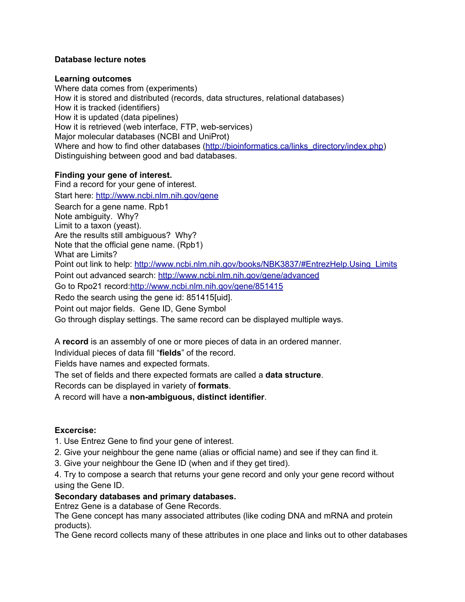# **Database lecture notes**

## **Learning outcomes**

Where data comes from (experiments) How it is stored and distributed (records, data structures, relational databases) How it is tracked (identifiers) How it is updated (data pipelines) How it is retrieved (web interface, FTP, web-services) Major molecular databases (NCBI and UniProt) Where and how to find other databases ([http://bioinformatics.ca/links\\_directory/index.php\)](http://bioinformatics.ca/links_directory/index.php) Distinguishing between good and bad databases.

# **Finding your gene of interest.**

Find a record for your gene of interest. Start here: <http://www.ncbi.nlm.nih.gov/gene> Search for a gene name. Rpb1 Note ambiguity. Why? Limit to a taxon (yeast). Are the results still ambiguous? Why? Note that the official gene name. (Rpb1) What are Limits? Point out link to help: [http://www.ncbi.nlm.nih.gov/books/NBK3837/#EntrezHelp.Using\\_Limits](http://www.ncbi.nlm.nih.gov/books/NBK3837/#EntrezHelp.Using_Limits) Point out advanced search: <http://www.ncbi.nlm.nih.gov/gene/advanced> Go to Rpo21 record:<http://www.ncbi.nlm.nih.gov/gene/851415> Redo the search using the gene id: 851415[uid]. Point out major fields. Gene ID, Gene Symbol Go through display settings. The same record can be displayed multiple ways.

A **record** is an assembly of one or more pieces of data in an ordered manner.

Individual pieces of data fill "**fields**" of the record.

Fields have names and expected formats.

The set of fields and there expected formats are called a **data structure**.

Records can be displayed in variety of **formats**.

A record will have a **non-ambiguous, distinct identifier**.

# **Excercise:**

- 1. Use Entrez Gene to find your gene of interest.
- 2. Give your neighbour the gene name (alias or official name) and see if they can find it.
- 3. Give your neighbour the Gene ID (when and if they get tired).

4. Try to compose a search that returns your gene record and only your gene record without using the Gene ID.

# **Secondary databases and primary databases.**

Entrez Gene is a database of Gene Records.

The Gene concept has many associated attributes (like coding DNA and mRNA and protein products).

The Gene record collects many of these attributes in one place and links out to other databases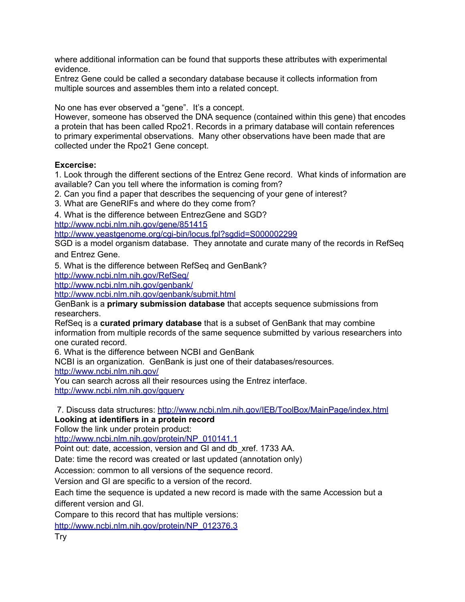where additional information can be found that supports these attributes with experimental evidence.

Entrez Gene could be called a secondary database because it collects information from multiple sources and assembles them into a related concept.

No one has ever observed a "gene". It's a concept.

However, someone has observed the DNA sequence (contained within this gene) that encodes a protein that has been called Rpo21. Records in a primary database will contain references to primary experimental observations. Many other observations have been made that are collected under the Rpo21 Gene concept.

# **Excercise:**

1. Look through the different sections of the Entrez Gene record. What kinds of information are available? Can you tell where the information is coming from?

2. Can you find a paper that describes the sequencing of your gene of interest?

3. What are GeneRIFs and where do they come from?

4. What is the difference between EntrezGene and SGD?

<http://www.ncbi.nlm.nih.gov/gene/851415>

<http://www.yeastgenome.org/cgi-bin/locus.fpl?sgdid=S000002299>

SGD is a model organism database. They annotate and curate many of the records in RefSeq and Entrez Gene.

5. What is the difference between RefSeq and GenBank?

<http://www.ncbi.nlm.nih.gov/RefSeq/>

<http://www.ncbi.nlm.nih.gov/genbank/>

<http://www.ncbi.nlm.nih.gov/genbank/submit.html>

GenBank is a **primary submission database** that accepts sequence submissions from researchers.

RefSeq is a **curated primary database** that is a subset of GenBank that may combine information from multiple records of the same sequence submitted by various researchers into one curated record.

6. What is the difference between NCBI and GenBank

NCBI is an organization. GenBank is just one of their databases/resources.

<http://www.ncbi.nlm.nih.gov/>

You can search across all their resources using the Entrez interface.

<http://www.ncbi.nlm.nih.gov/gquery>

7. Discuss data structures: <http://www.ncbi.nlm.nih.gov/IEB/ToolBox/MainPage/index.html> **Looking at identifiers in a protein record**

Follow the link under protein product:

[http://www.ncbi.nlm.nih.gov/protein/NP\\_010141.1](http://www.ncbi.nlm.nih.gov/protein/NP_010141.1)

Point out: date, accession, version and GI and db\_xref. 1733 AA.

Date: time the record was created or last updated (annotation only)

Accession: common to all versions of the sequence record.

Version and GI are specific to a version of the record.

Each time the sequence is updated a new record is made with the same Accession but a different version and GI.

Compare to this record that has multiple versions:

[http://www.ncbi.nlm.nih.gov/protein/NP\\_012376.3](http://www.ncbi.nlm.nih.gov/protein/NP_012376.3)

Try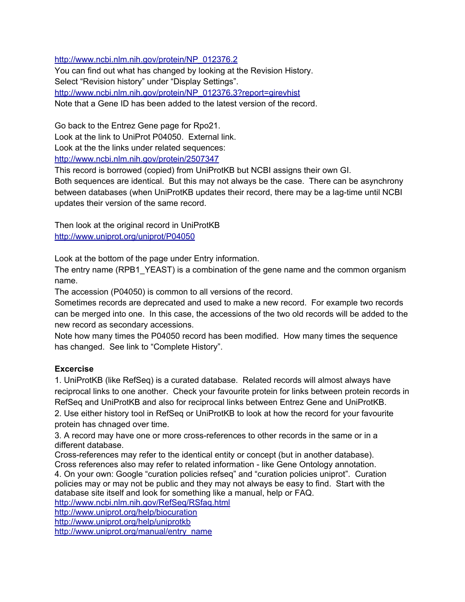[http://www.ncbi.nlm.nih.gov/protein/NP\\_012376.2](http://www.ncbi.nlm.nih.gov/protein/NP_012376.2)

You can find out what has changed by looking at the Revision History. Select "Revision history" under "Display Settings". [http://www.ncbi.nlm.nih.gov/protein/NP\\_012376.3?report=girevhist](http://www.ncbi.nlm.nih.gov/protein/NP_012376.3?report=girevhist) Note that a Gene ID has been added to the latest version of the record.

Go back to the Entrez Gene page for Rpo21.

Look at the link to UniProt P04050. External link.

Look at the the links under related sequences:

<http://www.ncbi.nlm.nih.gov/protein/2507347>

This record is borrowed (copied) from UniProtKB but NCBI assigns their own GI.

Both sequences are identical. But this may not always be the case. There can be asynchrony between databases (when UniProtKB updates their record, there may be a lag-time until NCBI updates their version of the same record.

Then look at the original record in UniProtKB <http://www.uniprot.org/uniprot/P04050>

Look at the bottom of the page under Entry information.

The entry name (RPB1 YEAST) is a combination of the gene name and the common organism name.

The accession (P04050) is common to all versions of the record.

Sometimes records are deprecated and used to make a new record. For example two records can be merged into one. In this case, the accessions of the two old records will be added to the new record as secondary accessions.

Note how many times the P04050 record has been modified. How many times the sequence has changed. See link to "Complete History".

# **Excercise**

1. UniProtKB (like RefSeq) is a curated database. Related records will almost always have reciprocal links to one another. Check your favourite protein for links between protein records in RefSeq and UniProtKB and also for reciprocal links between Entrez Gene and UniProtKB. 2. Use either history tool in RefSeq or UniProtKB to look at how the record for your favourite

protein has chnaged over time.

3. A record may have one or more cross-references to other records in the same or in a different database.

Cross-references may refer to the identical entity or concept (but in another database). Cross references also may refer to related information - like Gene Ontology annotation. 4. On your own: Google "curation policies refseq" and "curation policies uniprot". Curation policies may or may not be public and they may not always be easy to find. Start with the database site itself and look for something like a manual, help or FAQ.

<http://www.ncbi.nlm.nih.gov/RefSeq/RSfaq.html>

<http://www.uniprot.org/help/biocuration>

<http://www.uniprot.org/help/uniprotkb>

[http://www.uniprot.org/manual/entry\\_name](http://www.uniprot.org/manual/entry_name)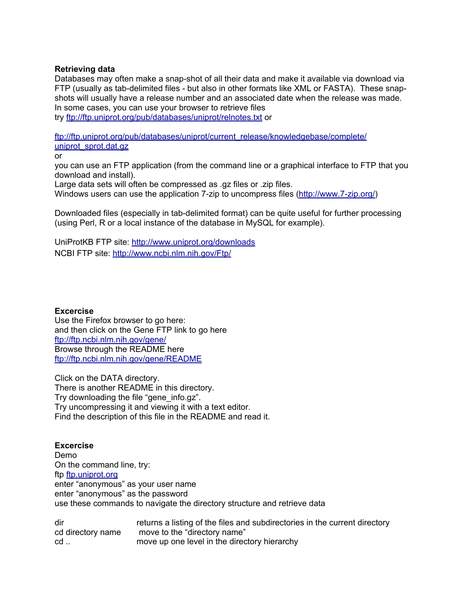## **Retrieving data**

Databases may often make a snap-shot of all their data and make it available via download via FTP (usually as tab-delimited files - but also in other formats like XML or FASTA). These snapshots will usually have a release number and an associated date when the release was made. In some cases, you can use your browser to retrieve files

try <ftp://ftp.uniprot.org/pub/databases/uniprot/relnotes.txt> or

[ftp://ftp.uniprot.org/pub/databases/uniprot/current\\_release/knowledgebase/complete/](ftp://ftp.uniprot.org/pub/databases/uniprot/current_release/knowledgebase/complete/uniprot_sprot.dat.gz) [uniprot\\_sprot.dat.gz](ftp://ftp.uniprot.org/pub/databases/uniprot/current_release/knowledgebase/complete/uniprot_sprot.dat.gz)

or

you can use an FTP application (from the command line or a graphical interface to FTP that you download and install).

Large data sets will often be compressed as .gz files or .zip files.

Windows users can use the application 7-zip to uncompress files ([http://www.7-zip.org/\)](http://www.7-zip.org/)

Downloaded files (especially in tab-delimited format) can be quite useful for further processing (using Perl, R or a local instance of the database in MySQL for example).

UniProtKB FTP site: <http://www.uniprot.org/downloads> NCBI FTP site: <http://www.ncbi.nlm.nih.gov/Ftp/>

#### **Excercise**

Use the Firefox browser to go here: and then click on the Gene FTP link to go here <ftp://ftp.ncbi.nlm.nih.gov/gene/> Browse through the README here <ftp://ftp.ncbi.nlm.nih.gov/gene/README>

Click on the DATA directory. There is another README in this directory. Try downloading the file "gene\_info.gz". Try uncompressing it and viewing it with a text editor. Find the description of this file in the README and read it.

# **Excercise**

Demo On the command line, try: ftp [ftp.uniprot.org](http://ftp.uniprot.org) enter "anonymous" as your user name enter "anonymous" as the password use these commands to navigate the directory structure and retrieve data

| dir               | returns a listing of the files and subdirectories in the current directory |
|-------------------|----------------------------------------------------------------------------|
| cd directory name | move to the "directory name"                                               |
| cd                | move up one level in the directory hierarchy                               |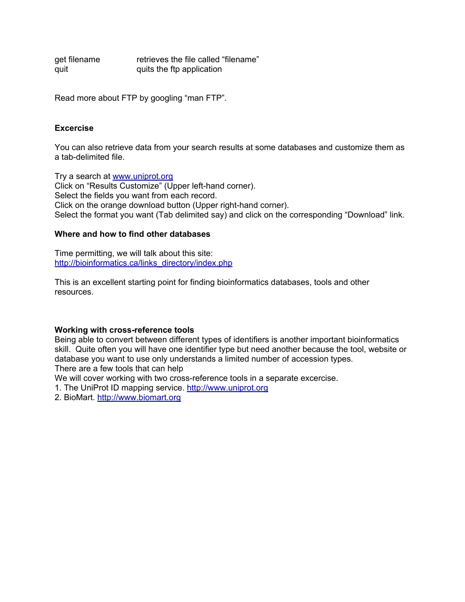get filename **retrieves the file called "filename**" quit quits the ftp application

Read more about FTP by googling "man FTP".

#### **Excercise**

You can also retrieve data from your search results at some databases and customize them as a tab-delimited file.

Try a search at [www.uniprot.org](http://www.uniprot.org) Click on "Results Customize" (Upper left-hand corner). Select the fields you want from each record. Click on the orange download button (Upper right-hand corner). Select the format you want (Tab delimited say) and click on the corresponding "Download" link.

#### **Where and how to find other databases**

Time permitting, we will talk about this site: [http://bioinformatics.ca/links\\_directory/index.php](http://bioinformatics.ca/links_directory/index.php)

This is an excellent starting point for finding bioinformatics databases, tools and other resources.

#### **Working with cross-reference tools**

Being able to convert between different types of identifiers is another important bioinformatics skill. Quite often you will have one identifier type but need another because the tool, website or database you want to use only understands a limited number of accession types. There are a few tools that can help

We will cover working with two cross-reference tools in a separate excercise.

1. The UniProt ID mapping service. <http://www.uniprot.org>

2. BioMart. <http://www.biomart.org>